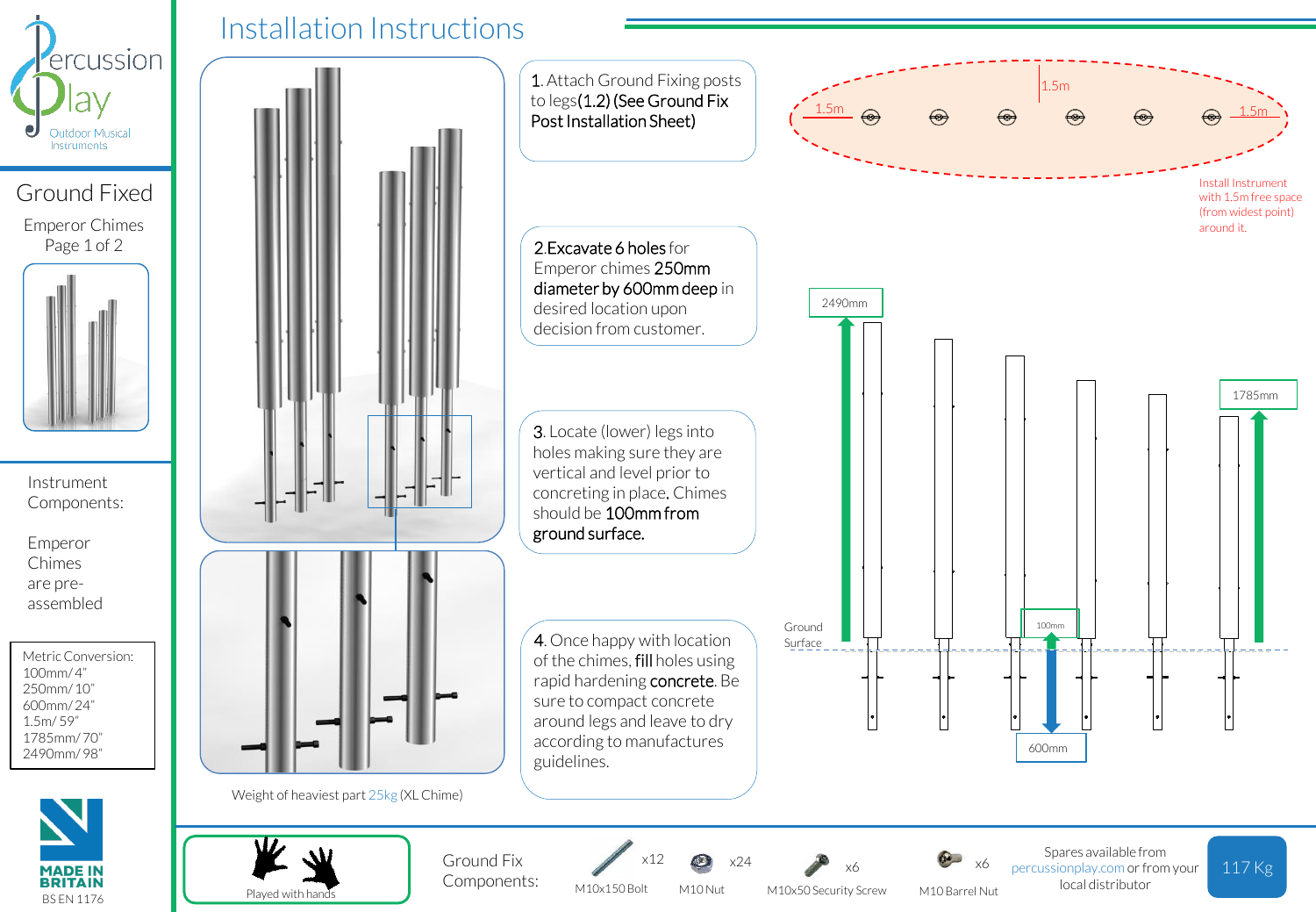

## Ground Fixed Emperor Chimes

Page 1 of 2



Instrument Components:

Emperor Chimes are preassembled

Metric Conversion:  $100mm/4"$ 250mm/ 10" 600mm/ 24" 1.5m/ 59" 1785mm/ 70" 2490mm/ 98"